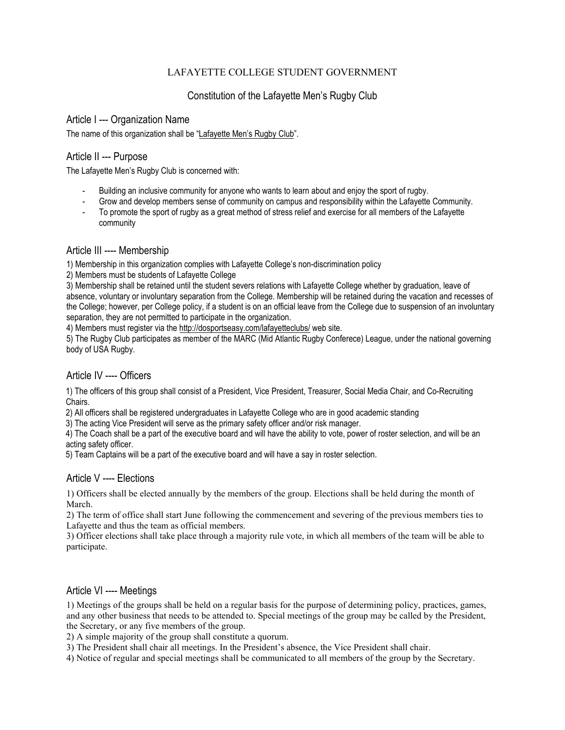### LAFAYETTE COLLEGE STUDENT GOVERNMENT

# Constitution of the Lafayette Men's Rugby Club

#### Article I --- Organization Name

The name of this organization shall be "Lafayette Men's Rugby Club".

### Article II --- Purpose

The Lafayette Men's Rugby Club is concerned with:

- Building an inclusive community for anyone who wants to learn about and enjoy the sport of rugby.
- Grow and develop members sense of community on campus and responsibility within the Lafayette Community.
- To promote the sport of rugby as a great method of stress relief and exercise for all members of the Lafayette community

### Article III ---- Membership

1) Membership in this organization complies with Lafayette College's non-discrimination policy

2) Members must be students of Lafayette College

3) Membership shall be retained until the student severs relations with Lafayette College whether by graduation, leave of absence, voluntary or involuntary separation from the College. Membership will be retained during the vacation and recesses of the College; however, per College policy, if a student is on an official leave from the College due to suspension of an involuntary separation, they are not permitted to participate in the organization.

4) Members must register via th[e http://dosportseasy.com/lafayetteclubs/](http://dosportseasy.com/lafayetteclubs/) web site.

5) The Rugby Club participates as member of the MARC (Mid Atlantic Rugby Conferece) League, under the national governing body of USA Rugby.

## Article IV ---- Officers

1) The officers of this group shall consist of a President, Vice President, Treasurer, Social Media Chair, and Co-Recruiting Chairs.

2) All officers shall be registered undergraduates in Lafayette College who are in good academic standing

3) The acting Vice President will serve as the primary safety officer and/or risk manager.

4) The Coach shall be a part of the executive board and will have the ability to vote, power of roster selection, and will be an acting safety officer.

5) Team Captains will be a part of the executive board and will have a say in roster selection.

## Article V ---- Elections

1) Officers shall be elected annually by the members of the group. Elections shall be held during the month of March.

2) The term of office shall start June following the commencement and severing of the previous members ties to Lafayette and thus the team as official members.

3) Officer elections shall take place through a majority rule vote, in which all members of the team will be able to participate.

## Article VI ---- Meetings

1) Meetings of the groups shall be held on a regular basis for the purpose of determining policy, practices, games, and any other business that needs to be attended to. Special meetings of the group may be called by the President, the Secretary, or any five members of the group.

2) A simple majority of the group shall constitute a quorum.

3) The President shall chair all meetings. In the President's absence, the Vice President shall chair.

4) Notice of regular and special meetings shall be communicated to all members of the group by the Secretary.